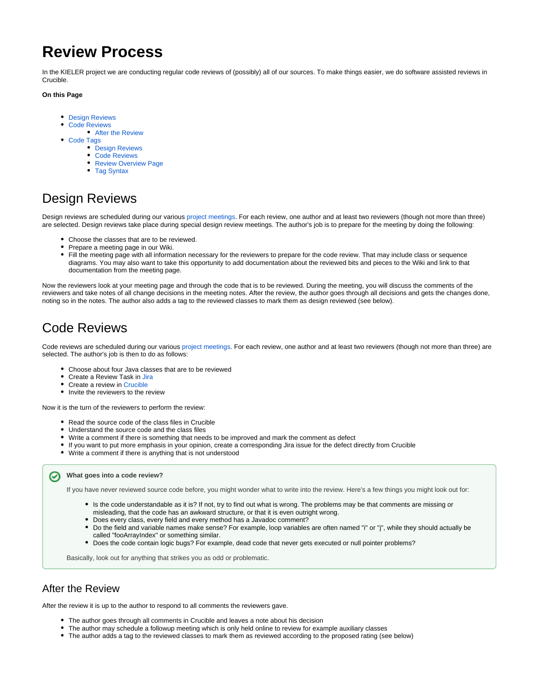# **Review Process**

In the KIELER project we are conducting regular code reviews of (possibly) all of our sources. To make things easier, we do software assisted reviews in Crucible.

#### **On this Page**

- [Design Reviews](#page-0-0)
- $\bullet$ [Code Reviews](#page-0-1)
	- [After the Review](#page-0-2)
- [Code Tags](#page-0-3)
	- [Design Reviews](#page-1-0)
	- [Code Reviews](#page-1-1)
	- [Review Overview Page](#page-1-2)
	- [Tag Syntax](#page-1-3)

## <span id="page-0-0"></span>Design Reviews

Design reviews are scheduled during our various [project meetings](https://rtsys.informatik.uni-kiel.de/confluence/pages/viewpage.action?pageId=884754). For each review, one author and at least two reviewers (though not more than three) are selected. Design reviews take place during special design review meetings. The author's job is to prepare for the meeting by doing the following:

- Choose the classes that are to be reviewed.
- Prepare a meeting page in our Wiki.
- $\bullet$ Fill the meeting page with all information necessary for the reviewers to prepare for the code review. That may include class or sequence diagrams. You may also want to take this opportunity to add documentation about the reviewed bits and pieces to the Wiki and link to that documentation from the meeting page.

Now the reviewers look at your meeting page and through the code that is to be reviewed. During the meeting, you will discuss the comments of the reviewers and take notes of all change decisions in the meeting notes. After the review, the author goes through all decisions and gets the changes done, noting so in the notes. The author also adds a tag to the reviewed classes to mark them as design reviewed (see below).

## <span id="page-0-1"></span>Code Reviews

Code reviews are scheduled during our various [project meetings.](https://rtsys.informatik.uni-kiel.de/confluence/pages/viewpage.action?pageId=884754) For each review, one author and at least two reviewers (though not more than three) are selected. The author's job is then to do as follows:

- Choose about four Java classes that are to be reviewed
- Create a Review Task in [Jira](http://rtsys.informatik.uni-kiel.de/jira)
- Create a review in [Crucible](http://rtsys.informatik.uni-kiel.de/fisheye/)
- Invite the reviewers to the review

Now it is the turn of the reviewers to perform the review:

- Read the source code of the class files in Crucible
- Understand the source code and the class files
- Write a comment if there is something that needs to be improved and mark the comment as defect
- If you want to put more emphasis in your opinion, create a corresponding Jira issue for the defect directly from Crucible
- Write a comment if there is anything that is not understood

#### **What goes into a code review?** の

If you have never reviewed source code before, you might wonder what to write into the review. Here's a few things you might look out for:

- Is the code understandable as it is? If not, try to find out what is wrong. The problems may be that comments are missing or
- misleading, that the code has an awkward structure, or that it is even outright wrong.
- Does every class, every field and every method has a Javadoc comment?
- Do the field and variable names make sense? For example, loop variables are often named "i" or "j", while they should actually be called "fooArrayIndex" or something similar.
- Does the code contain logic bugs? For example, dead code that never gets executed or null pointer problems?

Basically, look out for anything that strikes you as odd or problematic.

## <span id="page-0-2"></span>After the Review

After the review it is up to the author to respond to all comments the reviewers gave.

- The author goes through all comments in Crucible and leaves a note about his decision
- The author may schedule a followup meeting which is only held online to review for example auxiliary classes
- <span id="page-0-3"></span>The author adds a tag to the reviewed classes to mark them as reviewed according to the proposed rating (see below)